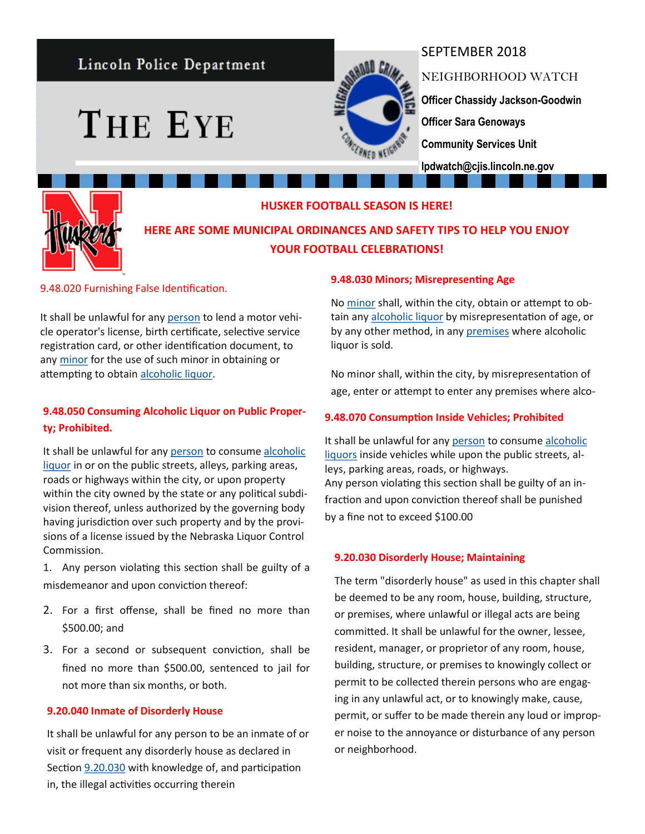# Lincoln Police Department

THE EYE



## SEPTEMBER 2018

NEIGHBORHOOD WATCH **Officer Chassidy Jackson-Goodwin Officer Sara Genoways Community Services Unit lpdwatch@cjis.lincoln.ne.gov**



#### **HUSKER FOOTBALL SEASON IS HERE!**

**HERE ARE SOME MUNICIPAL ORDINANCES AND SAFETY TIPS TO HELP YOU ENJOY YOUR FOOTBALL CELEBRATIONS!**

9.48.020 Furnishing False Identification.

It shall be unlawful for any [person](http://online.encodeplus.com/regs/lincoln-ne/doc-view.aspx?pn=0&ajax=0&secid=8827) to lend a motor vehicle operator's license, birth certificate, selective service registration card, or other identification document, to any [minor](http://online.encodeplus.com/regs/lincoln-ne/doc-view.aspx?pn=0&ajax=0&secid=8825) for the use of such minor in obtaining or attempting to obtain [alcoholic liquor.](http://online.encodeplus.com/regs/lincoln-ne/doc-view.aspx?pn=0&ajax=0&secid=8823)

## **9.48.050 Consuming Alcoholic Liquor on Public Property; Prohibited.**

It shall be unlawful for any [person](http://online.encodeplus.com/regs/lincoln-ne/doc-view.aspx?pn=0&ajax=0&secid=8827) to consume alcoholic [liquor](http://online.encodeplus.com/regs/lincoln-ne/doc-view.aspx?pn=0&ajax=0&secid=8823) in or on the public streets, alleys, parking areas, roads or highways within the city, or upon property within the city owned by the state or any political subdivision thereof, unless authorized by the governing body having jurisdiction over such property and by the provisions of a license issued by the Nebraska Liquor Control Commission.

1. Any person violating this section shall be guilty of a misdemeanor and upon conviction thereof:

- 2. For a first offense, shall be fined no more than \$500.00; and
- 3. For a second or subsequent conviction, shall be fined no more than \$500.00, sentenced to jail for not more than six months, or both.

#### **9.20.040 Inmate of Disorderly House**

It shall be unlawful for any person to be an inmate of or visit or frequent any disorderly house as declared in Section [9.20.030](http://online.encodeplus.com/regs/lincoln-ne/doc-viewer.aspx?ajax=0&tocid=001.009.005.003) with knowledge of, and participation in, the illegal activities occurring therein

#### **9.48.030 Minors; Misrepresenting Age**

No [minor](http://online.encodeplus.com/regs/lincoln-ne/doc-view.aspx?pn=0&ajax=0&secid=8825) shall, within the city, obtain or attempt to obtain any [alcoholic liquor](http://online.encodeplus.com/regs/lincoln-ne/doc-view.aspx?pn=0&ajax=0&secid=8823) by misrepresentation of age, or by any other method, in any [premises](http://online.encodeplus.com/regs/lincoln-ne/doc-view.aspx?pn=0&ajax=0&secid=8828) where alcoholic liquor is sold.

No minor shall, within the city, by misrepresentation of age, enter or attempt to enter any premises where alco-

#### **9.48.070 Consumption Inside Vehicles; Prohibited**

It shall be unlawful for any [person](http://online.encodeplus.com/regs/lincoln-ne/doc-view.aspx?pn=0&ajax=0&secid=8827) to consume [alcoholic](http://online.encodeplus.com/regs/lincoln-ne/doc-view.aspx?pn=0&ajax=0&secid=8823)  [liquors](http://online.encodeplus.com/regs/lincoln-ne/doc-view.aspx?pn=0&ajax=0&secid=8823) inside vehicles while upon the public streets, alleys, parking areas, roads, or highways. Any person violating this section shall be guilty of an infraction and upon conviction thereof shall be punished by a fine not to exceed \$100.00

#### **9.20.030 Disorderly House; Maintaining**

The term "disorderly house" as used in this chapter shall be deemed to be any room, house, building, structure, or premises, where unlawful or illegal acts are being committed. It shall be unlawful for the owner, lessee, resident, manager, or proprietor of any room, house, building, structure, or premises to knowingly collect or permit to be collected therein persons who are engaging in any unlawful act, or to knowingly make, cause, permit, or suffer to be made therein any loud or improper noise to the annoyance or disturbance of any person or neighborhood.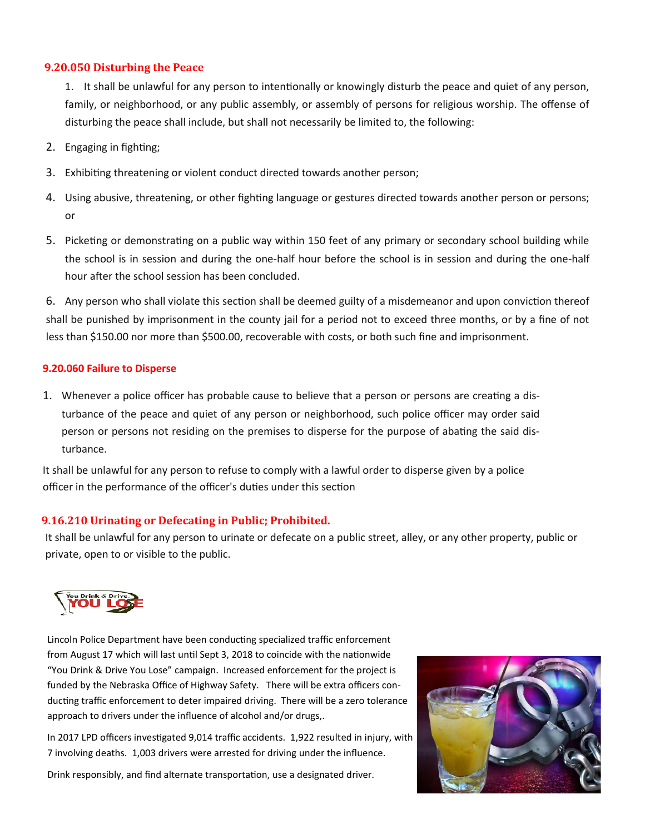#### **9.20.050 Disturbing the Peace**

1. It shall be unlawful for any person to intentionally or knowingly disturb the peace and quiet of any person, family, or neighborhood, or any public assembly, or assembly of persons for religious worship. The offense of disturbing the peace shall include, but shall not necessarily be limited to, the following:

- 2. Engaging in fighting;
- 3. Exhibiting threatening or violent conduct directed towards another person;
- 4. Using abusive, threatening, or other fighting language or gestures directed towards another person or persons; or
- 5. Picketing or demonstrating on a public way within 150 feet of any primary or secondary school building while the school is in session and during the one-half hour before the school is in session and during the one-half hour after the school session has been concluded.

6. Any person who shall violate this section shall be deemed guilty of a misdemeanor and upon conviction thereof shall be punished by imprisonment in the county jail for a period not to exceed three months, or by a fine of not less than \$150.00 nor more than \$500.00, recoverable with costs, or both such fine and imprisonment.

### **9.20.060 Failure to Disperse**

1. Whenever a police officer has probable cause to believe that a person or persons are creating a disturbance of the peace and quiet of any person or neighborhood, such police officer may order said person or persons not residing on the premises to disperse for the purpose of abating the said disturbance.

It shall be unlawful for any person to refuse to comply with a lawful order to disperse given by a police officer in the performance of the officer's duties under this section

## **9.16.210 Urinating or Defecating in Public; Prohibited.**

It shall be unlawful for any person to urinate or defecate on a public street, alley, or any other property, public or private, open to or visible to the public.



Lincoln Police Department have been conducting specialized traffic enforcement from August 17 which will last until Sept 3, 2018 to coincide with the nationwide "You Drink & Drive You Lose" campaign. Increased enforcement for the project is funded by the Nebraska Office of Highway Safety. There will be extra officers conducting traffic enforcement to deter impaired driving. There will be a zero tolerance approach to drivers under the influence of alcohol and/or drugs,.

In 2017 LPD officers investigated 9,014 traffic accidents. 1,922 resulted in injury, with 7 involving deaths. 1,003 drivers were arrested for driving under the influence.

Drink responsibly, and find alternate transportation, use a designated driver.